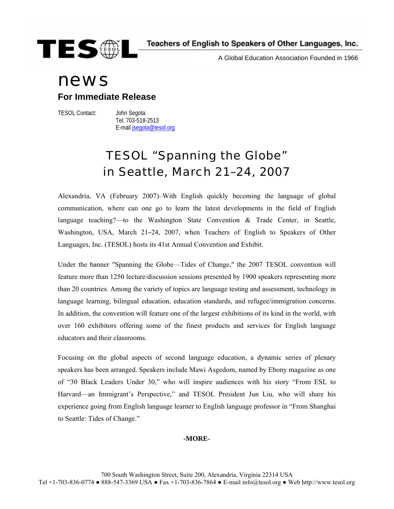

A Global Education Association Founded in 1966

# news

### **For Immediate Release**

TESOL Contact: John Segota

 Tel. 703-518-2513 E-mail [jsegota@tesol.org](mailto:jsegota@tesol.org)

## TESOL "Spanning the Globe" in Seattle, March 21–24, 2007

Alexandria, VA (February 2007)–With English quickly becoming the language of global communication, where can one go to learn the latest developments in the field of English language teaching?—to the Washington State Convention & Trade Center, in Seattle, Washington, USA, March 21–24, 2007, when Teachers of English to Speakers of Other Languages, Inc. (TESOL) hosts its 41st Annual Convention and Exhibit.

Under the banner "Spanning the Globe—Tides of Change," the 2007 TESOL convention will feature more than 1250 lecture/discussion sessions presented by 1900 speakers representing more than 20 countries. Among the variety of topics are language testing and assessment, technology in language learning, bilingual education, education standards, and refugee/immigration concerns. In addition, the convention will feature one of the largest exhibitions of its kind in the world, with over 160 exhibitors offering some of the finest products and services for English language educators and their classrooms.

Focusing on the global aspects of second language education, a dynamic series of plenary speakers has been arranged. Speakers include Mawi Asgedom, named by Ebony magazine as one of "30 Black Leaders Under 30," who will inspire audiences with his story "From ESL to Harvard—an Immigrant's Perspective," and TESOL President Jun Liu, who will share his experience going from English language learner to English language professor in "From Shanghai to Seattle: Tides of Change."

### **-MORE-**